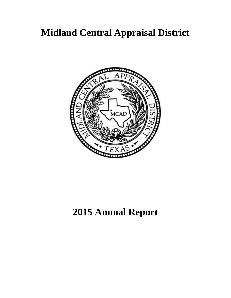

## **2015 Annual Report**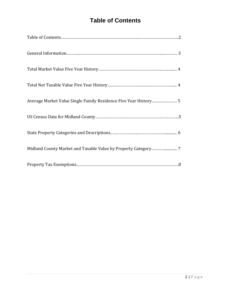## **Table of Contents**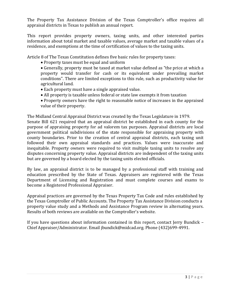The Property Tax Assistance Division of the Texas Comptroller's office requires all appraisal districts in Texas to publish an annual report.

This report provides property owners, taxing units, and other interested parties information about total market and taxable values, average market and taxable values of a residence, and exemptions at the time of certification of values to the taxing units.

Article 8 of The Texas Constitution defines five basic rules for property taxes:

- Property taxes must be equal and uniform
- Generally, property must be taxed at market value defined as "the price at which a property would transfer for cash or its equivalent under prevailing market conditions". There are limited exceptions to this rule, such as productivity value for agricultural land.
- Each property must have a single appraised value.
- All property is taxable unless federal or state law exempts it from taxation
- Property owners have the right to reasonable notice of increases in the appraised value of their property.

The Midland Central Appraisal District was created by the Texas Legislature in 1979. Senate Bill 621 required that an appraisal district be established in each county for the purpose of appraising property for ad valorem tax purposes. Appraisal districts are local government political subdivisions of the state responsible for appraising property with county boundaries. Prior to the creation of central appraisal districts, each taxing unit followed their own appraisal standards and practices. Values were inaccurate and inequitable. Property owners were required to visit multiple taxing units to resolve any disputes concerning property value. Appraisal districts are independent of the taxing units but are governed by a board elected by the taxing units elected officials.

By law, an appraisal district is to be managed by a professional staff with training and education prescribed by the State of Texas. Appraisers are registered with the Texas Department of Licensing and Registration and must complete courses and exams to become a Registered Professional Appraiser.

Appraisal practices are governed by the Texas Property Tax Code and rules established by the Texas Comptroller of Public Accounts. The Property Tax Assistance Division conducts a property value study and a Methods and Assistance Program review in alternating years. Results of both reviews are available on the Comptroller's website.

If you have questions about information contained in this report, contact Jerry Bundick – Chief Appraiser/Administrator. Email jbundick@midcad.org. Phone (432)699-4991.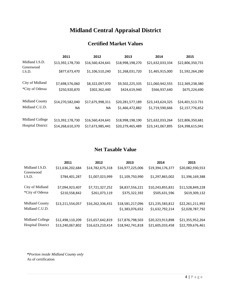#### **Certified Market Values**

|                          | 2011             | 2012             | 2013             | 2014             | 2015             |
|--------------------------|------------------|------------------|------------------|------------------|------------------|
| Midland I.S.D.           | \$13,392,178,730 | \$16,560,424,641 | \$18,998,198,270 | \$21,632,033,334 | \$22,806,350,731 |
| Greenwood<br>I.S.D.      | \$877,673,470    | \$1,106,510,240  | \$1,268,031,720  | \$1,465,915,000  | \$1,592,264,280  |
| City of Midland          | \$7,698,576,060  | \$8,322,097,970  | \$9,502,225,335  | \$11,060,942,555 | \$12,369,238,380 |
| *City of Odessa          | \$250,920,870    | \$302,362,440    | \$424,619,940    | \$566,937,640    | \$675,224,690    |
| Midland County           | \$14,270,582,040 | \$17,675,998,311 | \$20,281,577,189 | \$23,143,624,325 | \$24,401,513.731 |
| Midland C.U.D.           | NA               | ΝA               | \$1,466,472,882  | \$1,719,590,666  | \$2,157,776,652  |
| Midland College          | \$13,392,178,730 | \$16,560,424,641 | \$18,998,198,190 | \$21,632,033,264 | \$22,806,350,681 |
| <b>Hospital District</b> | \$14,268,610,370 | \$17,673,985,441 | \$20,279,465,489 | \$23,141,067,895 | \$24,398,615,041 |

#### **Net Taxable Value**

|                          | 2011             | 2012             | 2013             | 2014             | 2015             |
|--------------------------|------------------|------------------|------------------|------------------|------------------|
| Midland I.S.D.           | \$11,636,202,684 | \$14,782,675,318 | \$16,977,225,006 | \$19,394,176,377 | \$20,082,930,553 |
| Greenwood<br>I.S.D.      | \$784,401,287    | \$1,007,023,999  | \$1,109,750,990  | \$1,297,865,002  | \$1,396,169,388  |
| City of Midland          | \$7,094,923,407  | \$7,721,327,252  | \$8,837,556,221  | \$10,243,855,831 | \$11,528,849,228 |
| *City of Odessa          | \$210,558,842    | \$261,073,119    | \$375,322,392    | \$505,631,596    | \$619,309,132    |
| Midland County           | \$13,211,554,057 | \$16,262,336,431 | \$18,581,217,096 | \$21,235,583,812 | \$22,261,211,992 |
| Midland C.U.D.           |                  |                  | \$1,383,076,652  | \$1,632,792,214  | \$2,028,787,792  |
| Midland College          | \$12,498,110,209 | \$15,657,642,819 | \$17,876,798,503 | \$20,323,913,898 | \$21,355,952,264 |
| <b>Hospital District</b> | \$13,240,067,802 | \$16,623,210,414 | \$18,942,741,818 | \$21,605,033,458 | \$22,709,676,461 |

**\****Portion inside Midland County only* As of certification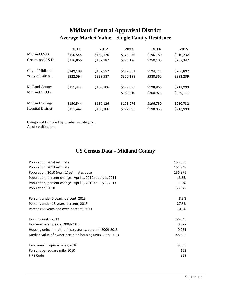## **Midland Central Appraisal District Average Market Value – Single Family Residence**

|                          | 2011      | 2012      | 2013      | 2014      | 2015      |
|--------------------------|-----------|-----------|-----------|-----------|-----------|
| Midland I.S.D.           | \$150,544 | \$159,126 | \$175,276 | \$196,780 | \$210,732 |
| Greenwood I.S.D.         | \$176,856 | \$187,187 | \$225,126 | \$250,100 | \$267,347 |
| City of Midland          | \$149,199 | \$157,557 | \$172,652 | \$194,415 | \$206,892 |
| *City of Odessa          | \$322,594 | \$329,587 | \$352,198 | \$380,362 | \$393,239 |
| <b>Midland County</b>    | \$151,442 | \$160,106 | \$177,095 | \$198,866 | \$212,999 |
| Midland C.U.D.           |           |           | \$183,010 | \$200,926 | \$229,111 |
| Midland College          | \$150,544 | \$159,126 | \$175,276 | \$196,780 | \$210,732 |
| <b>Hospital District</b> | \$151,442 | \$160,106 | \$177,095 | \$198,866 | \$212,999 |

Category A1 divided by number in category. As of certification

#### **US Census Data – Midland County**

| Population, 2014 estimate                                  | 155,830 |
|------------------------------------------------------------|---------|
| Population, 2013 estimate                                  | 151,949 |
| Population, 2010 (April 1) estimates base                  | 136,875 |
| Population, percent change - April 1, 2010 to July 1, 2014 | 13.8%   |
| Population, percent change - April 1, 2010 to July 1, 2013 | 11.0%   |
| Population, 2010                                           | 136,872 |
|                                                            |         |
| Persons under 5 years, percent, 2013                       | 8.3%    |
| Persons under 18 years, percent, 2013                      | 27.5%   |
| Persons 65 years and over, percent, 2013                   | 10.3%   |
|                                                            |         |
| Housing units, 2013                                        | 56,046  |
| Homeownership rate, 2009-2013                              | 0.677   |
| Housing units in multi-unit structures, percent, 2009-2013 | 0.231   |
| Median value of owner-occupied housing units, 2009-2013    | 148,600 |
|                                                            |         |
| Land area in square miles, 2010                            | 900.3   |
| Persons per square mile, 2010                              | 152     |
| <b>FIPS Code</b>                                           | 329     |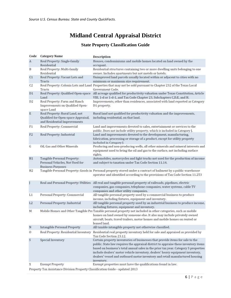#### **State Property Classification Guide**

| Code           | <b>Category Name</b>                                                                                  | Description                                                                                                                                                                                                                                                                                                                                                                                                                                |
|----------------|-------------------------------------------------------------------------------------------------------|--------------------------------------------------------------------------------------------------------------------------------------------------------------------------------------------------------------------------------------------------------------------------------------------------------------------------------------------------------------------------------------------------------------------------------------------|
| $\mathbf{A}$   | Real Property: Single-family<br>Residential                                                           | Houses, condominiums and mobile homes located on land owned by the<br>occupant.                                                                                                                                                                                                                                                                                                                                                            |
| B              | Real Property: Multi-family<br>Residential                                                            | Residential structures containing two or more dwelling units belonging to one<br>owner. Includes apartments but not motels or hotels.                                                                                                                                                                                                                                                                                                      |
| C1             | Real Property: Vacant Lots and<br>Tracts                                                              | Unimproved land parcels usually located within or adjacent to cities with no<br>minimum or maximum size requirement.                                                                                                                                                                                                                                                                                                                       |
| C <sub>2</sub> | Tracts                                                                                                | Real Property: Colonia Lots and Land Properties that may not be sold pursuant to Chapter 232 of the Texas Local<br>Government Code.                                                                                                                                                                                                                                                                                                        |
| D1             | Real Property: Qualified Open-space<br>Land                                                           | All acreage qualified for productivity valuation under Texas Constitution, Article<br>VIII, 1-d or 1-d-1, and Tax Code Chapter 23, Subchapters C,D,E, and H.                                                                                                                                                                                                                                                                               |
| D <sub>2</sub> | Real Property: Farm and Ranch<br>Improvements on Qualified Open-<br>space Land                        | Improvements, other than residences, associated with land reported as Category<br>D1 property.                                                                                                                                                                                                                                                                                                                                             |
| E              | Real Property: Rural Land, not<br>Qualified for Open-space Appraisal,<br>and Residential Improvements | Rural land not qualified for productivity valuation and the improvements,<br>including residential, on that land.                                                                                                                                                                                                                                                                                                                          |
| F1             | Real Property: Commercial                                                                             | Land and improvements devoted to sales, entertainment or services to the<br>public. Does not include utility property, which is included in Category J.                                                                                                                                                                                                                                                                                    |
| F2             | Real Property: Industrial                                                                             | Land and improvements devoted to the development, manufacturing,<br>fabrication, processing or storage of a product, except for utility property<br>included in Category I.                                                                                                                                                                                                                                                                |
| G              | Oil, Gas and Other Minerals                                                                           | Producing and non-producing wells, all other minerals and mineral interests and<br>equipment used to bring the oil and gas to the surface, not including surface<br>rights.                                                                                                                                                                                                                                                                |
| H1             | Tangible Personal Property:<br>Personal Vehicles, Not Used for<br><b>Business Purposes</b>            | Automobiles, motorcycles and light trucks not used for the production of income<br>and subject to taxation under Tax Code Section 11.14.                                                                                                                                                                                                                                                                                                   |
| H <sub>2</sub> |                                                                                                       | Tangible Personal Property: Goods in Personal property stored under a contract of bailment by a public warehouse<br>operator and identified according to the provisions of Tax Code Section 11.253                                                                                                                                                                                                                                         |
| J              | Real and Personal Property: Utilities                                                                 | All real and tangible personal property of railroads, pipelines, electric<br>companies, gas companies, telephone companies, water systems, cable TV<br>companies and other utility companies.                                                                                                                                                                                                                                              |
| LI             | Personal Property: Commercial                                                                         | All tangible personal property used by a commercial business to produce<br>income, including fixtures, equipment and inventory.                                                                                                                                                                                                                                                                                                            |
| L2             | Personal Property: Industrial                                                                         | All tangible personal property used by an industrial business to produce income,<br>including fixtures, equipment and inventory.                                                                                                                                                                                                                                                                                                           |
| M              |                                                                                                       | Mobile Homes and Other Tangible Per Taxable personal property not included in other categories, such as mobile<br>homes on land owned by someone else. It also may include privately owned<br>aircraft, boats, travel trailers, motor homes and mobile homes on rented or<br>leased land.                                                                                                                                                  |
| N              | <b>Intangible Personal Property</b>                                                                   | All taxable intangible property not otherwise classified.                                                                                                                                                                                                                                                                                                                                                                                  |
| 0              | Real Property: Residential Inventory                                                                  | Residential real property inventory held for sale and appraised as provided by<br>Tax Code Section 23.12.                                                                                                                                                                                                                                                                                                                                  |
| s              | Special Inventory                                                                                     | Certain property inventories of businesses that provide items for sale to the<br>public. State law requires the appraisal district to appraise these inventory items<br>based on business's total annual sales in the prior tax year. Category S properties<br>include dealers' motor vehicle inventory, dealers' heavy equipment inventory,<br>dealers' vessel and outboard motor inventory and retail manufactured housing<br>inventory. |
| X              | <b>Exempt Property</b>                                                                                | Exempt properties must have the qualifications found in law.                                                                                                                                                                                                                                                                                                                                                                               |
|                |                                                                                                       | 6.44                                                                                                                                                                                                                                                                                                                                                                                                                                       |

Property Tax Assistance Division Property Classification Guide - updated 2013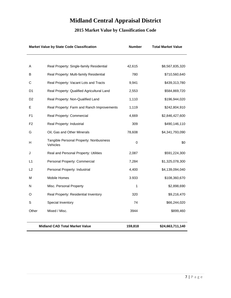### **2015 Market Value by Classification Code**

| <b>Market Value by State Code Classification</b> |                                                     | <b>Number</b> | <b>Total Market Value</b> |
|--------------------------------------------------|-----------------------------------------------------|---------------|---------------------------|
|                                                  |                                                     |               |                           |
| A                                                | Real Property: Single-family Residential            | 42,615        | \$8,567,835,320           |
| В                                                | Real Property: Multi-family Residential             | 780           | \$710,560,640             |
| С                                                | Real Property: Vacant Lots and Tracts               | 9,941         | \$439,313,780             |
| D1                                               | Real Property: Qualified Agricultural Land          | 2,553         | \$584,869,720             |
| D <sub>2</sub>                                   | Real Property: Non-Qualified Land                   | 1,110         | \$196,944,020             |
| E.                                               | Real Property: Farm and Ranch Improvements          | 1,119         | \$242,804,910             |
| F <sub>1</sub>                                   | Real Property: Commercial                           | 4,669         | \$2,846,427,600           |
| F2                                               | Real Property: Industrial                           | 309           | \$490,146,110             |
| G                                                | Oil, Gas and Other Minerals                         | 78,608        | \$4,341,793,090           |
| н                                                | Tangible Personal Property: Nonbusiness<br>Vehicles | 0             | \$0                       |
| J                                                | Real and Personal Property: Utilities               | 2,087         | \$591,224,300             |
| L1                                               | Personal Property: Commercial                       | 7,284         | \$1,325,078,300           |
| L2                                               | Personal Property: Industrial                       | 4,400         | \$4,139,094,040           |
| М                                                | Mobile Homes                                        | 3.933         | \$108,360,670             |
| N                                                | Misc. Personal Property                             | 1             | \$2,898,690               |
| O                                                | Real Property: Residential Inventory                | 320           | \$9,216,470               |
| S                                                | Special Inventory                                   | 74            | \$66,244,020              |
| Other                                            | Mixed / Misc.                                       | 3944          | \$899,460                 |
|                                                  | <b>Midland CAD Total Market Value</b>               | 159,818       | \$24,663,711,140          |